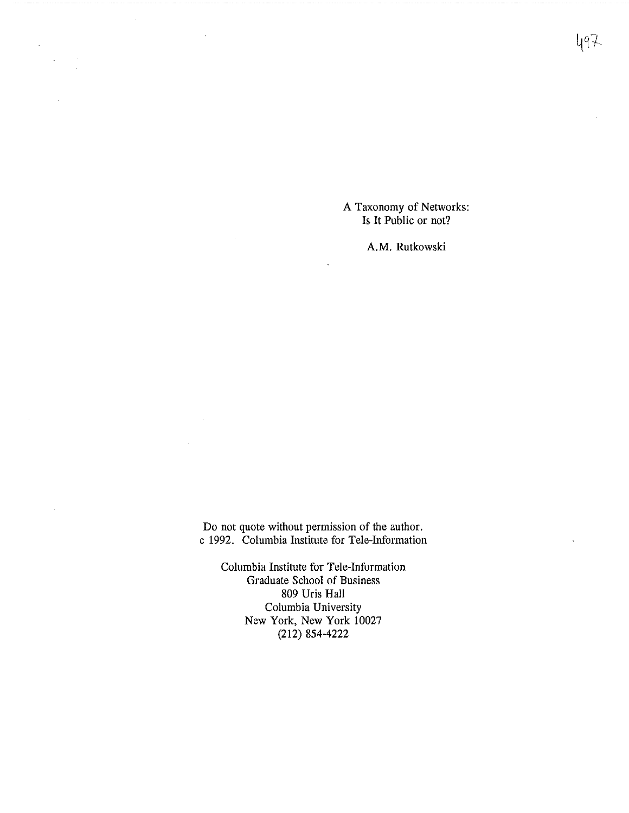A Taxonomy of Networks: Is It Public or not?

**A.M.** Rutkowski

Do not quote without permission of the author. c 1992. Columbia Institute for Tele-Information

Columbia Institute for Tele-Information Graduate School of Business 809 Uris Hall Columbia University New York, New York 10027 (212) 854-4222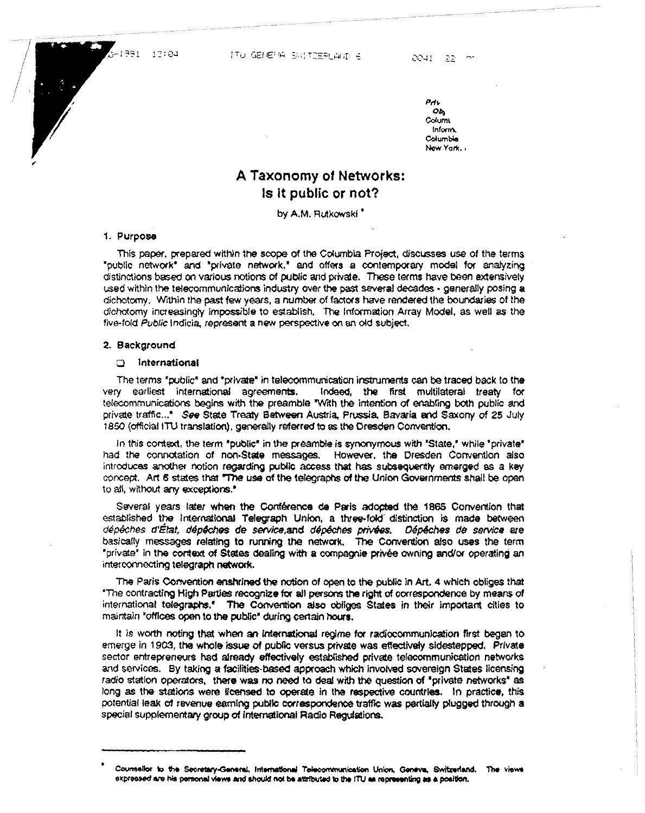$-1991 - 17:04$ 

Prl> Ob, **~uml**  Inform., Columbia New York,

# **A Taxonomy** of **Networks: Is It** public or not?

by **A.M.** Rutkowski '

### 1. Purpose

This paper, prepared within the scope of the Columbia Project, discusses use of the terms "public network" and "private network," and offers a contemporary model for analyzing distinctions based on various notions of public and private. These terms have been extensively used within the telecommunications industry over the past several decades - generally posing a dichotomy. Within the past few years, a number of factors have rendered the boundaries of the dichotomy increasingly impossible to establish. The Information Array Model, as well as the five-fold Public Indicia, represent a new perspective on an old subject.

#### **2. Background**

## a International

The terms "public' and "private' in telecommunication instruments can be traced back to the very earliest international agreements. Indeed, the first multilateral treaty for telecommunications begins with the preamble "With the intention of enabling both public and private traffic..." See State Treaty Between Austria, Prussia, Bavaria and Saxony of 25 July 1850 (official ITU translation), generally referred to as the Dresden Convention.

In this context, the term 'public" in the preamble is synonymous with 'State." while 'private• had the connotation of non-State messages. However. the Dresden Convention also introduces another notion regarding public access that has subsequently emerged as a key concept. Art 6 states that "The use of the telegraphs of the Union Governments shall be open to all, without any exceptions.<sup>•</sup>

Several years later when the COnference de Paris adopted the 1865 Convention that established the International Telegraph Union, a three-fold' distinetion is made between dépêches d'État, dépêches de service, and dépêches privées. Dépêches de service are basically messages relating to running the network. The Convention also uses the term 'private' in the context of States dealing with a compagnie privée owning and/or operating an interconnecting telegraph network.

The Paris Convention enshrined the notion of open to the public in Art. 4 which obliges that 'The contracting High Parties reeogniZe f0f all persons **the** right of correspondence by means of international telegraphs.• The Convention also obliges States in their important cities to maintain 'offices open to the public' during certain **hours.** 

It is worth noting that when an international regime for radiocommunication first began to emerge in 1903, the whole issue of public versus private was effectively sidestepped. Private sector entrepreneurs had already effectively established private telecommunication networks and services. By taking a facilities-based approach which involved sovereign States licensing radio station operators, there was no need to deal with the question of "private networks" as long as the stations were licensed to operate in the respective countries. In practice, this potential leak ol revenue eamlng pubUc correspondence traffic was partially plugged through **a**  special supplementary group of international Radio Regulations.

Counsellor to the Secretary-General, International Telecommunication Union, Geneva, Switzerland. The views expressed are his personal views and should not be attributed to the ITU as representing as a position.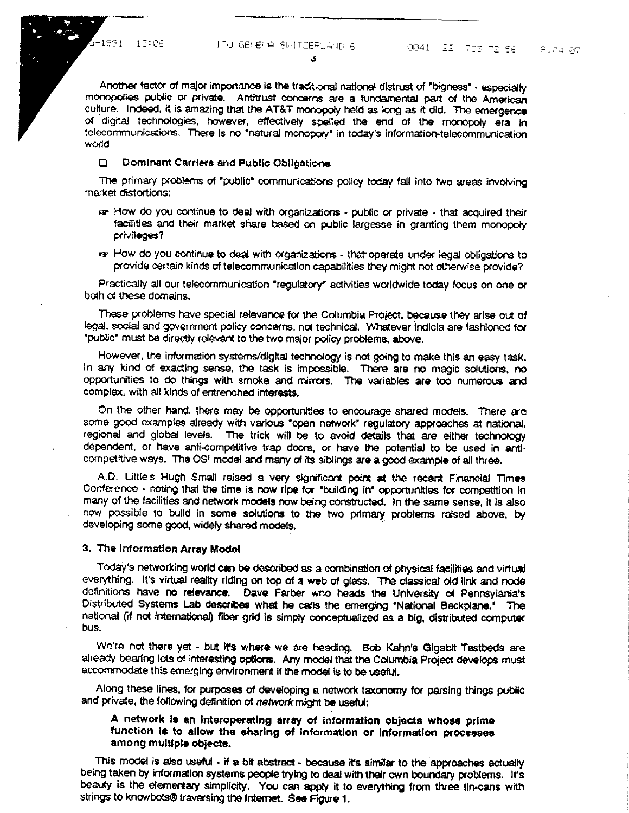$-1991 - 17106$ 

Another factor of major importance is the traditional national distrust of "bigness" - especially monopolies public or private. Antitrust concerns are a fundamental part of the American culture. Indeed, it is amazing that the AT&T monopoly held as long as it did. The emergence of digital technologies, however, effectively spelled the end of the monopoly era in telecommunications. There is no "natural monopoly" in today's information-telecommunication world.

 $\mathbf{A}$ 

## **Q** Dominant Carriers and Public Obligations

The primary problems of "public" communications policy today fall into two areas involving market distortions:

- ran How do you continue to deal with organizations public or private that acquired their facilities and their market share based on public largesse in granting them monopoly privileges?
- ra How do you continue to deal with organizations that operate under legal obligations to provide certain kinds of telecommunication capabilities they might not otherwise provide?

Practically all our telecommunication "regulatory" activities worldwide today focus on one or both of these domains.

These problems have special relevance for the Columbia Project, because they arise out of legal, social and government policy concerns, not technical. Whatever indicia are fashioned for "public" must be directly relevant to the two major policy problems, above.

However, the information systems/digital technology is not going to make this an easy task. In any kind of exacting sense, the task is impossible. There are no magic solutions, no opportunities to do things with smoke and mirrors. The variables are too numerous and complex, with all kinds of entrenched interests.

On the other hand, there may be opportunities to encourage shared models. There are some good examples already with various "open network" regulatory approaches at national, regional and global levels. The trick will be to avoid details that are either technology dependent, or have anti-competitive trap doors, or have the potential to be used in anticompetitive ways. The OSF model and many of its siblings are a good example of all three.

A.D. Little's Hugh Small raised a very significant point at the recent Financial Times Conference - noting that the time is now ripe for "building in" opportunities for competition in many of the facilities and network models now being constructed. In the same sense, it is also now possible to build in some solutions to the two primary problems raised above, by developing some good, widely shared models.

#### 3. The Information Array Model

Today's networking world can be described as a combination of physical facilities and virtual everything. It's virtual reality riding on top of a web of glass. The classical old link and node definitions have no relevance. Dave Farber who heads the University of Pennsylania's Distributed Systems Lab describes what he calls the emerging "National Backplane." The national (if not international) fiber grid is simply conceptualized as a big, distributed computer bus.

We're not there yet - but it's where we are heading. Bob Kahn's Gigabit Testbeds are already bearing lots of interesting options. Any model that the Columbia Project develops must accommodate this emerging environment if the model is to be useful.

Along these lines, for purposes of developing a network taxonomy for parsing things public and private, the following definition of network might be useful:

## A network is an interoperating array of information objects whose prime function is to allow the sharing of information or information processes among multiple objects.

This model is also useful - if a bit abstract - because it's similar to the approaches actually being taken by information systems people trying to deal with their own boundary problems. It's beauty is the elementary simplicity. You can apply it to everything from three tin-cans with strings to knowbots@traversing the Internet. See Figure 1.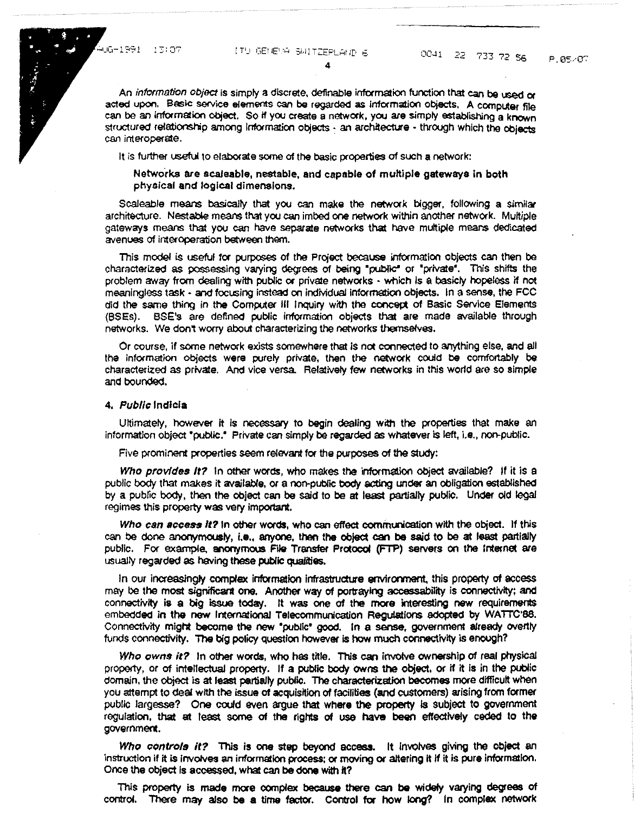An information object is simply a discrete, definable information function that can be used or acted upon. Basic service elements can be regarded as information objects. A computer file can be an lntormation object. So if you create a network, yoo are simply establishing a known structured relationship among information objects - an architecture - through which the objects can interoperate.

4

It is further useful to elaborate some of the basic properties of such a network:

Netwo°rks are acaleable, nestable, and capable of multiple **gatewaya** in both phyalcal and logical dimensions.

Scaleable means basically that you can make the network bigger, following a similar architecture. Nestable means that you can imbed one network within another network. Multiple gateways means that you can have separate networks that have multiple means dedicated avenues of interoperation between them.

This model is useful for purposes of the Project because information objects can then be characterized as possessing varying degrees of being "public" or "private". This shifts the problem mvay from dealing with public or private networks • which Is a basicly hopeless if not meaningless task • and focusing instead on individual information objects, In a sense, the FCC did the same thing in the Computer Ill Inquiry with the concept of Basic Service Elements (BSEs). BSE's are defined public information objects that are made available through networks. We don't worry about characterizing the networks themselves.

Or course, if some network exists somewhere that is not coonected to anything else, and all the information Objects were purely private, then the network COUid be comfortably be characterized as private. And vice versa. Relatively few networks in this world are so simple and bounded.

#### 4. Public Indicia

Ultimately, however it is necessary to begin dealing with the properties that make an information object "public." Private can simply be regarded as whatever iS left, i.e., non-public.

Five prominent properties seem relevant for the purposes of the study:

Who provides It? In other words, who makes the information object available? If it is a public body that makes it available, or a non-public body acting under an obligation established by a pubfic body, then the object can be said to be at least partially public. Under old legal regimes this property was very important.

Who can **access It?** In other words, who can effect communication with the object. If this can be done anonymously, **i.e.,** anyone, then the object **can be** said to be at least partially public. For example, anonymous File Transfer Protocol (FTP) servers on the Internet are usually regarded as having these public qualities,

In our increasingly complex information infrastructure environment, this property of access may be the most significant one. Another way of portraying accessability is connectivity; and connectivity is a big issue today. It was one of the more interesting new requirements embedded in the new International Telecommunication Regulations adopted by WATTC'88. Connectivity might become the new "public" good. In a sense, government already overtly funds connectivity. The big policy question however is how much connectivity is enough?

Who owns it? In other words, who has title. This can involve ownership of real physical property, or of intellectual property. If a public body owns the object, or if it is in the public domain, the object is at least partially public. The characterization becomes more difficult when you attempt to deal with the issue of acquisition of facilities (and customers) arising from former public largesse? One could even argue that where the property is subject to government regulation, that at least some of the rights of use **have been** effectively ceded to the government.

Who controls it? This is one step beyond access. It involves giving the object an instruction if it is involves an informalion process: or moving or altering it If it is pure information. once the object Is accessed, what can **be done** With it?

Tols property is made more oomplex because there can **be** widely varying degrees Of control. There may also **be a** time factor. Control for how tong? In complex netWork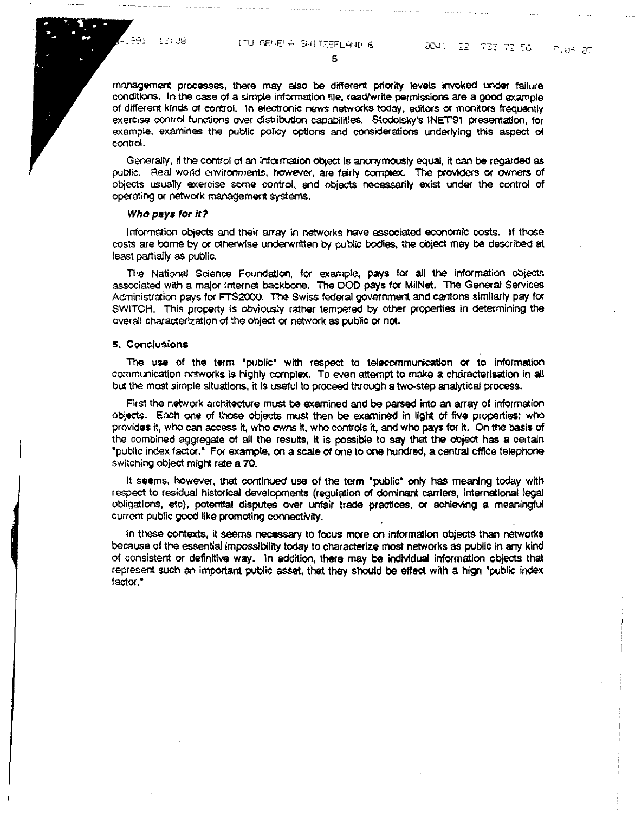management processes, **there** may also be different priaity levels invoked undef failure conditions. In the case of a simple information file, read/write permissions are a good example of different kinds of control. In electronic news networks today, editors or monitors frequently exercise control functions over distribution capabilities. Stodolsky's INET'91 presentation, for example, examines the public policy options and considerations underlying this aspect of control.

5

Generally, tt the control of an infamation object is anonymously equal, it can **be** regarded as public. Real world environments, however, are fairly complex. The providers or owners of objects usually exercise some control, and objects necessarily exist under the control of operating or network management systems.

#### Who **pays** for It?

Information objects and their array in networks haVe associated economic costs. If those costs are borne by or otherwise underwritten by public bodies, the object may be described at least partially as public.

The National Science Foundation, for example, pays for all the information objects associated with a major Internet backbone. The DOD pays for MilNet. The General Services Administration pays for FTS2000. The Swiss federal government and cantons similarly pay for SWITCH. This property is obviously rather tempered by other properties in determining the overall characterization of the object or network as public or not.

#### **s. C** onolusions

The use of the term "public" with respect to telecommunication or to information communication networks is highly complex, To even attempt to make a characterisation in all but the most simple situations, it is useful to proceed throvgh **a** two-step analytical process.

First the network architecture must be examined and be parsed into an array of information objects, Each one of those objects must then be examined in light Of five properties: whO provides it, who can access it, who owns it, who controls it, and who pays for it. On the basis of the combined aggregate of all the results, it is possible to say that the object has a certain 'public index fact01.' FO! example, on a scale of one to one hundred, a central office telephone switching object might rate a 70.

It seems, however, that continued use of the term 'public' only has meaning today with respect to residual historical developments (regulation of dominant carriers, international legal obligations, etc), potential disputes over unfair trade practices, or achieving a meaningful current public good like promoting connectivity.

In these contexts, it seems necessary to focus more on information objects than networks because of the essential impossibility today to characterize most networks as public in arry kind of consistent or definitive way. In addition, there may be individual information objects that represent such an important public asset, that they should be effect with a high 'public index factor."